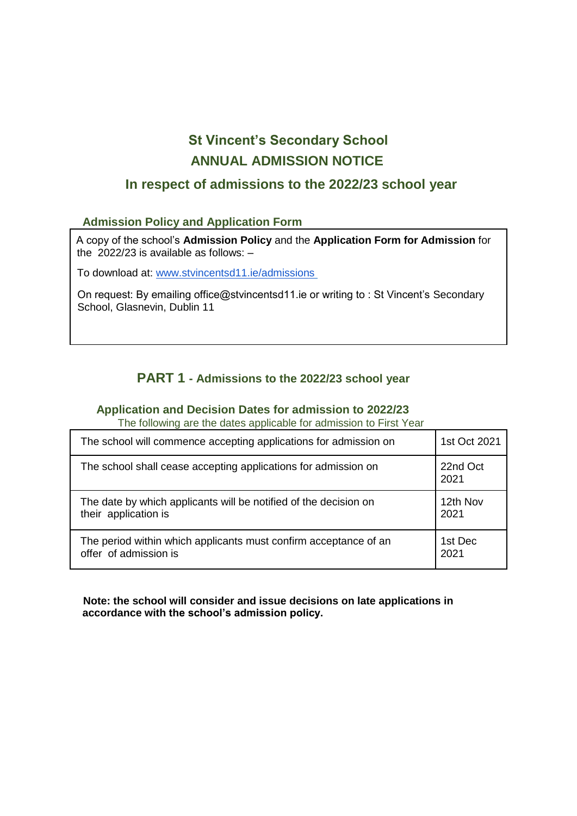# **St Vincent's Secondary School ANNUAL ADMISSION NOTICE**

### **In respect of admissions to the 2022/23 school year**

### **Admission Policy and Application Form**

A copy of the school's **Admission Policy** and the **Application Form for Admission** for the 2022/23 is available as follows: –

To download at: [www.stvincentsd11.ie/admissions](http://www.stvincentsd11.ie/admissions)

On request: By emailing office@stvincentsd11.ie or writing to : St Vincent's Secondary School, Glasnevin, Dublin 11

### **PART 1 - Admissions to the 2022/23 school year**

#### **Application and Decision Dates for admission to 2022/23**

The following are the dates applicable for admission to First Year

| The school will commence accepting applications for admission on | 1st Oct 2021     |
|------------------------------------------------------------------|------------------|
| The school shall cease accepting applications for admission on   | 22nd Oct<br>2021 |
| The date by which applicants will be notified of the decision on | 12th Nov         |
| their application is                                             | 2021             |
| The period within which applicants must confirm acceptance of an | 1st Dec          |
| offer of admission is                                            | 2021             |

**Note: the school will consider and issue decisions on late applications in accordance with the school's admission policy.**